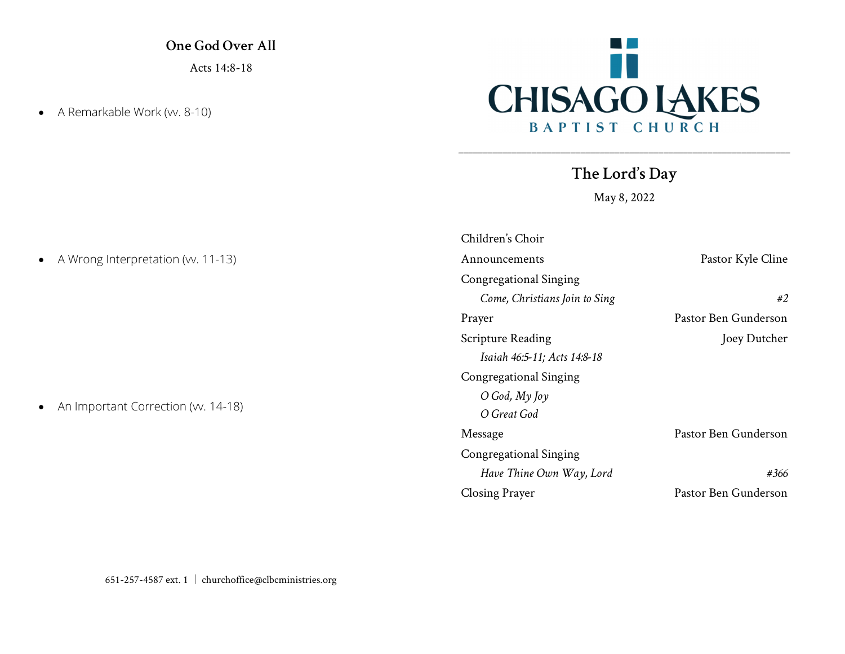One God Over All Acts 14:8-18

• A Remarkable Work (w. 8-10)



The Lord's Day

\_\_\_\_\_\_\_\_\_\_\_\_\_\_\_\_\_\_\_\_\_\_\_\_\_\_\_\_\_\_\_\_\_\_\_\_\_\_\_\_\_\_\_\_\_\_\_\_\_\_\_\_\_\_\_\_\_\_\_\_\_\_\_\_\_\_\_\_

May 8, 2022

| Children's Choir              |                      |
|-------------------------------|----------------------|
| Announcements                 | Pastor Kyle Cline    |
| Congregational Singing        |                      |
| Come, Christians Join to Sing | #2                   |
| Prayer                        | Pastor Ben Gunderson |
| <b>Scripture Reading</b>      | Joey Dutcher         |
| Isaiah 46:5-11; Acts 14:8-18  |                      |
| Congregational Singing        |                      |
| $O$ God, $My$ Joy             |                      |
| O Great God                   |                      |
| Message                       | Pastor Ben Gunderson |
| Congregational Singing        |                      |
| Have Thine Own Way, Lord      | #366                 |
| Closing Prayer                | Pastor Ben Gunderson |

• A Wrong Interpretation (w. 11-13)

• An Important Correction (w. 14-18)